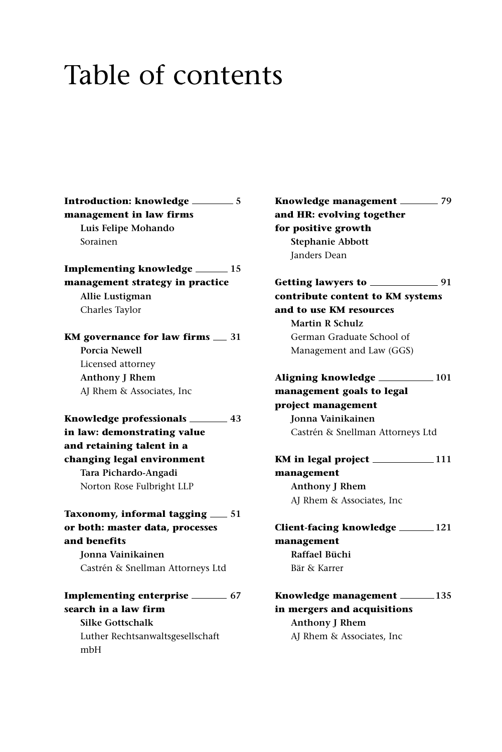## Table of contents

**Introduction: knowledge 5 management in law firms Luis Felipe Mohando** Sorainen

**Implementing knowledge 15 management strategy in practice Allie Lustigman** Charles Taylor

**KM** governance for law firms  $\equiv$  31 **Porcia Newell** Licensed attorney **Anthony J Rhem** AJ Rhem & Associates, Inc

**Knowledge professionals 43 in law: demonstrating value and retaining talent in a changing legal environment Tara Pichardo-Angadi** Norton Rose Fulbright LLP

**Taxonomy, informal tagging**  $\qquad 51$ **or both: master data, processes and benefits**

**Jonna Vainikainen** Castrén & Snellman Attorneys Ltd

**Implementing enterprise 67 search in a law firm Silke Gottschalk** Luther Rechtsanwaltsgesellschaft mbH

**Knowledge management 79 and HR: evolving together for positive growth Stephanie Abbott** Janders Dean

**Getting lawyers to 91 contribute content to KM systems and to use KM resources Martin R Schulz** German Graduate School of Management and Law (GGS)

**Aligning knowledge 101 management goals to legal project management Jonna Vainikainen** Castrén & Snellman Attorneys Ltd

**KM in legal project 111 management Anthony J Rhem** AJ Rhem & Associates, Inc

**Client-facing knowledge 121 management Raffael Büchi** Bär & Karrer

**Knowledge management 135 in mergers and acquisitions Anthony J Rhem** AJ Rhem & Associates, Inc